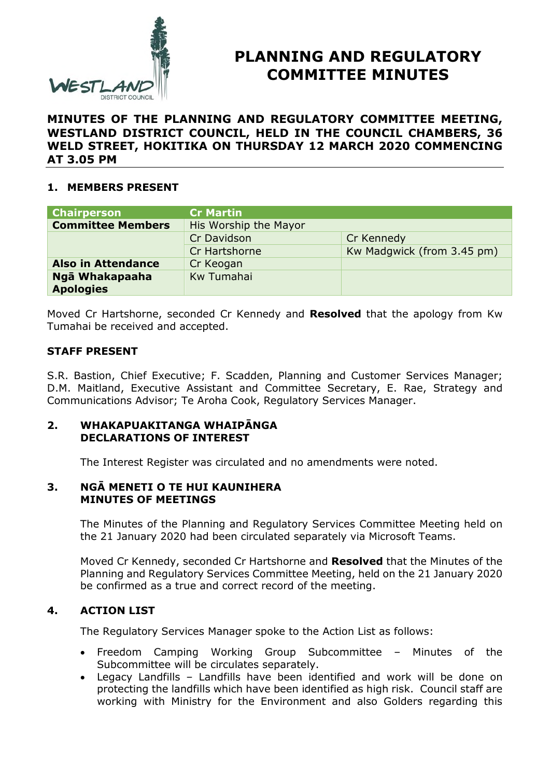

# **PLANNING AND REGULATORY COMMITTEE MINUTES**

**MINUTES OF THE PLANNING AND REGULATORY COMMITTEE MEETING, WESTLAND DISTRICT COUNCIL, HELD IN THE COUNCIL CHAMBERS, 36 WELD STREET, HOKITIKA ON THURSDAY 12 MARCH 2020 COMMENCING AT 3.05 PM**

## **1. MEMBERS PRESENT**

| <b>Chairperson</b>        | <b>Cr Martin</b>      |                            |
|---------------------------|-----------------------|----------------------------|
| <b>Committee Members</b>  | His Worship the Mayor |                            |
|                           | Cr Davidson           | Cr Kennedy                 |
|                           | Cr Hartshorne         | Kw Madgwick (from 3.45 pm) |
| <b>Also in Attendance</b> | Cr Keogan             |                            |
| Ngā Whakapaaha            | Kw Tumahai            |                            |
| <b>Apologies</b>          |                       |                            |

Moved Cr Hartshorne, seconded Cr Kennedy and **Resolved** that the apology from Kw Tumahai be received and accepted.

#### **STAFF PRESENT**

S.R. Bastion, Chief Executive; F. Scadden, Planning and Customer Services Manager; D.M. Maitland, Executive Assistant and Committee Secretary, E. Rae, Strategy and Communications Advisor; Te Aroha Cook, Regulatory Services Manager.

#### **2. WHAKAPUAKITANGA WHAIPĀNGA DECLARATIONS OF INTEREST**

The Interest Register was circulated and no amendments were noted.

#### **3. NGĀ MENETI O TE HUI KAUNIHERA MINUTES OF MEETINGS**

The Minutes of the Planning and Regulatory Services Committee Meeting held on the 21 January 2020 had been circulated separately via Microsoft Teams.

Moved Cr Kennedy, seconded Cr Hartshorne and **Resolved** that the Minutes of the Planning and Regulatory Services Committee Meeting, held on the 21 January 2020 be confirmed as a true and correct record of the meeting.

### **4. ACTION LIST**

The Regulatory Services Manager spoke to the Action List as follows:

- Freedom Camping Working Group Subcommittee Minutes of the Subcommittee will be circulates separately.
- Legacy Landfills Landfills have been identified and work will be done on protecting the landfills which have been identified as high risk. Council staff are working with Ministry for the Environment and also Golders regarding this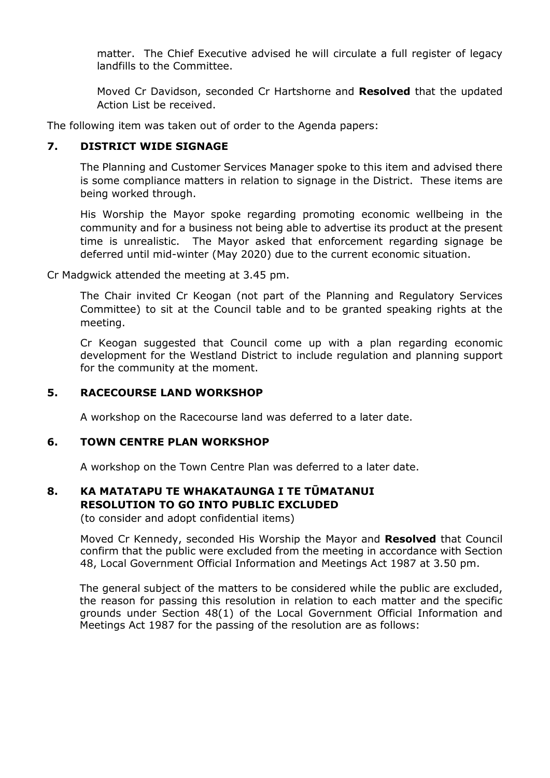matter. The Chief Executive advised he will circulate a full register of legacy landfills to the Committee.

Moved Cr Davidson, seconded Cr Hartshorne and **Resolved** that the updated Action List be received.

The following item was taken out of order to the Agenda papers:

#### **7. DISTRICT WIDE SIGNAGE**

The Planning and Customer Services Manager spoke to this item and advised there is some compliance matters in relation to signage in the District. These items are being worked through.

His Worship the Mayor spoke regarding promoting economic wellbeing in the community and for a business not being able to advertise its product at the present time is unrealistic. The Mayor asked that enforcement regarding signage be deferred until mid-winter (May 2020) due to the current economic situation.

Cr Madgwick attended the meeting at 3.45 pm.

The Chair invited Cr Keogan (not part of the Planning and Regulatory Services Committee) to sit at the Council table and to be granted speaking rights at the meeting.

Cr Keogan suggested that Council come up with a plan regarding economic development for the Westland District to include regulation and planning support for the community at the moment.

### **5. RACECOURSE LAND WORKSHOP**

A workshop on the Racecourse land was deferred to a later date.

#### **6. TOWN CENTRE PLAN WORKSHOP**

A workshop on the Town Centre Plan was deferred to a later date.

#### **8. KA MATATAPU TE WHAKATAUNGA I TE TŪMATANUI RESOLUTION TO GO INTO PUBLIC EXCLUDED**

(to consider and adopt confidential items)

Moved Cr Kennedy, seconded His Worship the Mayor and **Resolved** that Council confirm that the public were excluded from the meeting in accordance with Section 48, Local Government Official Information and Meetings Act 1987 at 3.50 pm.

The general subject of the matters to be considered while the public are excluded, the reason for passing this resolution in relation to each matter and the specific grounds under Section 48(1) of the Local Government Official Information and Meetings Act 1987 for the passing of the resolution are as follows: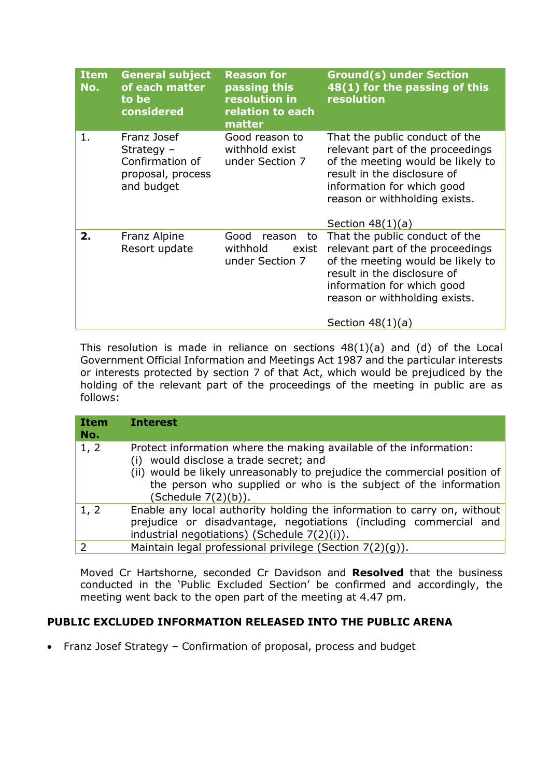| <b>Item</b><br>No. | <b>General subject</b><br>of each matter<br>to be<br>considered                   | <b>Reason for</b><br>passing this<br>resolution in<br>relation to each<br>matter | <b>Ground(s) under Section</b><br>48(1) for the passing of this<br>resolution                                                                                                                                                 |
|--------------------|-----------------------------------------------------------------------------------|----------------------------------------------------------------------------------|-------------------------------------------------------------------------------------------------------------------------------------------------------------------------------------------------------------------------------|
| 1.                 | Franz Josef<br>Strategy $-$<br>Confirmation of<br>proposal, process<br>and budget | Good reason to<br>withhold exist<br>under Section 7                              | That the public conduct of the<br>relevant part of the proceedings<br>of the meeting would be likely to<br>result in the disclosure of<br>information for which good<br>reason or withholding exists.<br>Section $48(1)(a)$   |
| 2.                 | Franz Alpine<br>Resort update                                                     | Good<br>reason<br>to<br>withhold<br>exist<br>under Section 7                     | That the public conduct of the<br>relevant part of the proceedings<br>of the meeting would be likely to<br>result in the disclosure of<br>information for which good<br>reason or withholding exists.<br>Section 48(1)<br>(a) |

This resolution is made in reliance on sections 48(1)(a) and (d) of the Local Government Official Information and Meetings Act 1987 and the particular interests or interests protected by section 7 of that Act, which would be prejudiced by the holding of the relevant part of the proceedings of the meeting in public are as follows:

| <b>Item</b><br>No. | <b>Interest</b>                                                                                                                                                                                                                                                                         |
|--------------------|-----------------------------------------------------------------------------------------------------------------------------------------------------------------------------------------------------------------------------------------------------------------------------------------|
| 1, 2               | Protect information where the making available of the information:<br>would disclose a trade secret; and<br>(i)<br>(ii) would be likely unreasonably to prejudice the commercial position of<br>the person who supplied or who is the subject of the information<br>(Schedule 7(2)(b)). |
| 1, 2               | Enable any local authority holding the information to carry on, without<br>prejudice or disadvantage, negotiations (including commercial and<br>industrial negotiations) (Schedule 7(2)(i)).                                                                                            |
|                    | Maintain legal professional privilege (Section 7(2)(g)).                                                                                                                                                                                                                                |

Moved Cr Hartshorne, seconded Cr Davidson and **Resolved** that the business conducted in the 'Public Excluded Section' be confirmed and accordingly, the meeting went back to the open part of the meeting at 4.47 pm.

## **PUBLIC EXCLUDED INFORMATION RELEASED INTO THE PUBLIC ARENA**

• Franz Josef Strategy - Confirmation of proposal, process and budget